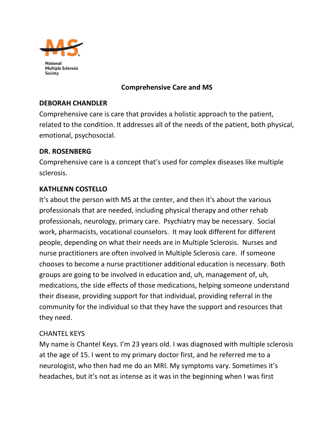

## **Comprehensive Care and MS**

#### **DEBORAH CHANDLER**

Comprehensive care is care that provides a holistic approach to the patient, related to the condition. It addresses all of the needs of the patient, both physical, emotional, psychosocial.

### **DR. ROSENBERG**

Comprehensive care is a concept that's used for complex diseases like multiple sclerosis.

### **KATHLENN COSTELLO**

It's about the person with MS at the center, and then it's about the various professionals that are needed, including physical therapy and other rehab professionals, neurology, primary care. Psychiatry may be necessary. Social work, pharmacists, vocational counselors. It may look different for different people, depending on what their needs are in Multiple Sclerosis. Nurses and nurse practitioners are often involved in Multiple Sclerosis care. If someone chooses to become a nurse practitioner additional education is necessary. Both groups are going to be involved in education and, uh, management of, uh, medications, the side effects of those medications, helping someone understand their disease, providing support for that individual, providing referral in the community for the individual so that they have the support and resources that they need.

#### CHANTEL KEYS

My name is Chantel Keys. I'm 23 years old. I was diagnosed with multiple sclerosis at the age of 15. I went to my primary doctor first, and he referred me to a neurologist, who then had me do an MRI. My symptoms vary. Sometimes it's headaches, but it's not as intense as it was in the beginning when I was first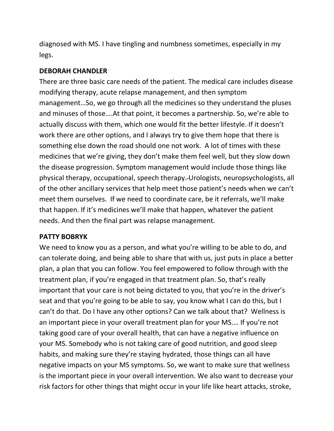diagnosed with MS. I have tingling and numbness sometimes, especially in my legs.

#### **DEBORAH CHANDLER**

There are three basic care needs of the patient. The medical care includes disease modifying therapy, acute relapse management, and then symptom management…So, we go through all the medicines so they understand the pluses and minuses of those….At that point, it becomes a partnership. So, we're able to actually discuss with them, which one would fit the better lifestyle. If it doesn't work there are other options, and I always try to give them hope that there is something else down the road should one not work. A lot of times with these medicines that we're giving, they don't make them feel well, but they slow down the disease progression. Symptom management would include those things like physical therapy, occupational, speech therapy. Urologists, neuropsychologists, all of the other ancillary services that help meet those patient's needs when we can't meet them ourselves. If we need to coordinate care, be it referrals, we'll make that happen. If it's medicines we'll make that happen, whatever the patient needs. And then the final part was relapse management.

#### **PATTY BOBRYK**

We need to know you as a person, and what you're willing to be able to do, and can tolerate doing, and being able to share that with us, just puts in place a better plan, a plan that you can follow. You feel empowered to follow through with the treatment plan, if you're engaged in that treatment plan. So, that's really important that your care is not being dictated to you, that you're in the driver's seat and that you're going to be able to say, you know what I can do this, but I can't do that. Do I have any other options? Can we talk about that? Wellness is an important piece in your overall treatment plan for your MS.… If you're not taking good care of your overall health, that can have a negative influence on your MS. Somebody who is not taking care of good nutrition, and good sleep habits, and making sure they're staying hydrated, those things can all have negative impacts on your MS symptoms. So, we want to make sure that wellness is the important piece in your overall intervention. We also want to decrease your risk factors for other things that might occur in your life like heart attacks, stroke,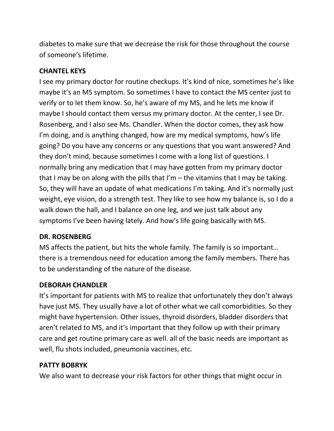diabetes to make sure that we decrease the risk for those throughout the course of someone's lifetime.

# **CHANTEL KEYS**

I see my primary doctor for routine checkups. It's kind of nice, sometimes he's like maybe it's an MS symptom. So sometimes I have to contact the MS center just to verify or to let them know. So, he's aware of my MS, and he lets me know if maybe I should contact them versus my primary doctor. At the center, I see Dr. Rosenberg, and I also see Ms. Chandler. When the doctor comes, they ask how I'm doing, and is anything changed, how are my medical symptoms, how's life going? Do you have any concerns or any questions that you want answered? And they don't mind, because sometimes I come with a long list of questions. I normally bring any medication that I may have gotten from my primary doctor that I may be on along with the pills that I'm – the vitamins that I may be taking. So, they will have an update of what medications I'm taking. And it's normally just weight, eye vision, do a strength test. They like to see how my balance is, so I do a walk down the hall, and I balance on one leg, and we just talk about any symptoms I've been having lately. And how's life going basically with MS.

## **DR. ROSENBERG**

MS affects the patient, but hits the whole family. The family is so important… there is a tremendous need for education among the family members. There has to be understanding of the nature of the disease.

## **DEBORAH CHANDLER**

It's important for patients with MS to realize that unfortunately they don't always have just MS. They usually have a lot of other what we call comorbidities. So they might have hypertension. Other issues, thyroid disorders, bladder disorders that aren't related to MS, and it's important that they follow up with their primary care and get routine primary care as well. all of the basic needs are important as well, flu shots included, pneumonia vaccines, etc.

## **PATTY BOBRYK**

We also want to decrease your risk factors for other things that might occur in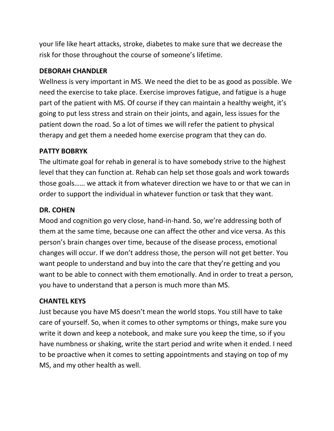your life like heart attacks, stroke, diabetes to make sure that we decrease the risk for those throughout the course of someone's lifetime.

## **DEBORAH CHANDLER**

Wellness is very important in MS. We need the diet to be as good as possible. We need the exercise to take place. Exercise improves fatigue, and fatigue is a huge part of the patient with MS. Of course if they can maintain a healthy weight, it's going to put less stress and strain on their joints, and again, less issues for the patient down the road. So a lot of times we will refer the patient to physical therapy and get them a needed home exercise program that they can do.

# **PATTY BOBRYK**

The ultimate goal for rehab in general is to have somebody strive to the highest level that they can function at. Rehab can help set those goals and work towards those goals…… we attack it from whatever direction we have to or that we can in order to support the individual in whatever function or task that they want.

# **DR. COHEN**

Mood and cognition go very close, hand-in-hand. So, we're addressing both of them at the same time, because one can affect the other and vice versa. As this person's brain changes over time, because of the disease process, emotional changes will occur. If we don't address those, the person will not get better. You want people to understand and buy into the care that they're getting and you want to be able to connect with them emotionally. And in order to treat a person, you have to understand that a person is much more than MS.

## **CHANTEL KEYS**

Just because you have MS doesn't mean the world stops. You still have to take care of yourself. So, when it comes to other symptoms or things, make sure you write it down and keep a notebook, and make sure you keep the time, so if you have numbness or shaking, write the start period and write when it ended. I need to be proactive when it comes to setting appointments and staying on top of my MS, and my other health as well.